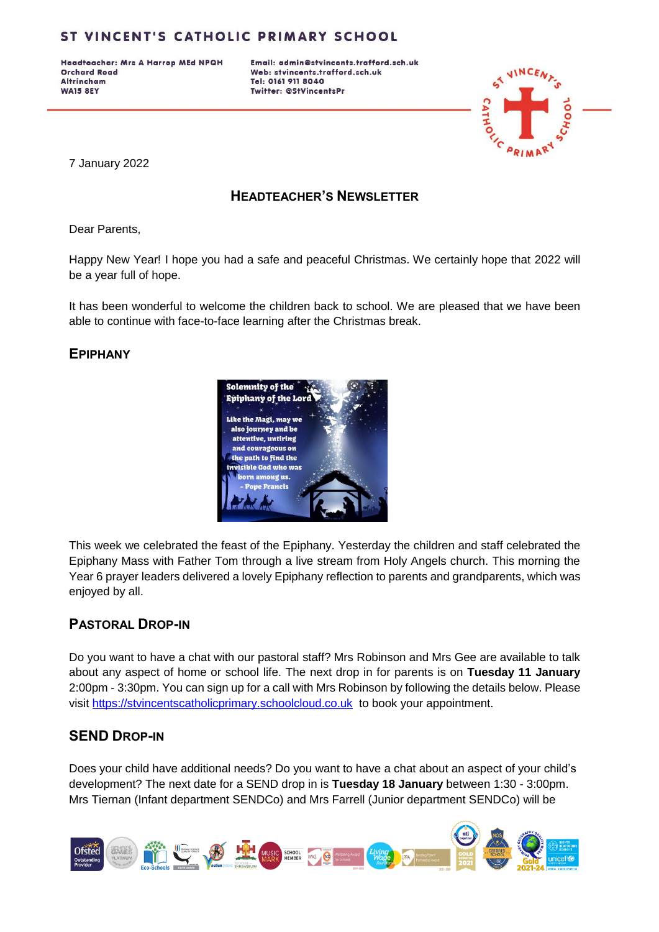Headteacher: Mrs A Harrop MEd NPQH **Orchard Road Altrincham WA15 8EY** 

Email: admin@stvincents.trafford.sch.uk Web: stvincents.trafford.sch.uk Tel: 0161 911 8040 Twitter: @StVincentsPr



7 January 2022

# **HEADTEACHER'S NEWSLETTER**

Dear Parents,

Happy New Year! I hope you had a safe and peaceful Christmas. We certainly hope that 2022 will be a year full of hope.

It has been wonderful to welcome the children back to school. We are pleased that we have been able to continue with face-to-face learning after the Christmas break.

#### **EPIPHANY**



This week we celebrated the feast of the Epiphany. Yesterday the children and staff celebrated the Epiphany Mass with Father Tom through a live stream from Holy Angels church. This morning the Year 6 prayer leaders delivered a lovely Epiphany reflection to parents and grandparents, which was enjoyed by all.

## **PASTORAL DROP-IN**

Do you want to have a chat with our pastoral staff? Mrs Robinson and Mrs Gee are available to talk about any aspect of home or school life. The next drop in for parents is on **Tuesday 11 January**  2:00pm - 3:30pm. You can sign up for a call with Mrs Robinson by following the details below. Please visit [https://stvincentscatholicprimary.schoolcloud.co.uk](https://stvincentscatholicprimary.schoolcloud.co.uk/) to book your appointment.

## **SEND DROP-IN**

Does your child have additional needs? Do you want to have a chat about an aspect of your child's development? The next date for a SEND drop in is **Tuesday 18 January** between 1:30 - 3:00pm. Mrs Tiernan (Infant department SENDCo) and Mrs Farrell (Junior department SENDCo) will be

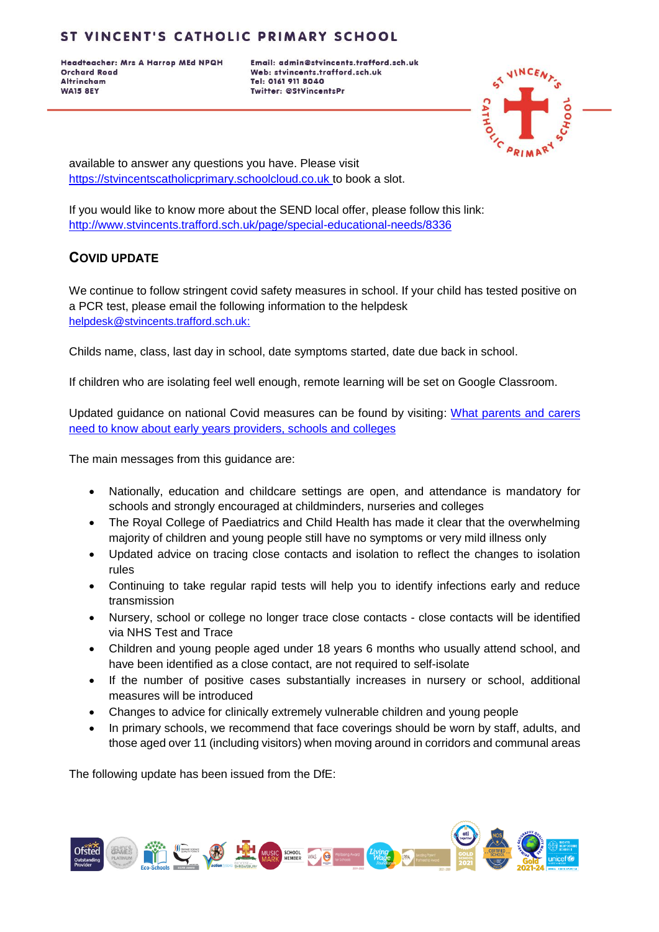Headteacher: Mrs A Harrop MEd NPQH **Orchard Road Altrincham WA15 8EY** 

Email: admin@stvincents.trafford.sch.uk Web: stvincents.trafford.sch.uk Tel: 0161 911 8040 Twitter: @StVincentsPr



available to answer any questions you have. Please visit [https://stvincentscatholicprimary.schoolcloud.co.uk](https://stvincentscatholicprimary.schoolcloud.co.uk/) to book a slot.

If you would like to know more about the SEND local offer, please follow this link: <http://www.stvincents.trafford.sch.uk/page/special-educational-needs/8336>

## **COVID UPDATE**

We continue to follow stringent covid safety measures in school. If your child has tested positive on a PCR test, please email the following information to the helpdesk [helpdesk@stvincents.trafford.sch.uk:](mailto:helpdesk@stvincents.trafford.sch.uk)

Childs name, class, last day in school, date symptoms started, date due back in school.

If children who are isolating feel well enough, remote learning will be set on Google Classroom.

Updated guidance on national Covid measures can be found by visiting: [What parents and carers](https://www.gov.uk/government/publications/what-parents-and-carers-need-to-know-about-early-years-providers-schools-and-colleges-during-the-coronavirus-covid-19-outbreak/step-4-update-what-parents-and-carers-need-to-know-about-early-years-providers-schools-and-colleges#face-coverings)  [need to know about early years providers, schools and colleges](https://www.gov.uk/government/publications/what-parents-and-carers-need-to-know-about-early-years-providers-schools-and-colleges-during-the-coronavirus-covid-19-outbreak/step-4-update-what-parents-and-carers-need-to-know-about-early-years-providers-schools-and-colleges#face-coverings)

The main messages from this guidance are:

- Nationally, education and childcare settings are open, and attendance is mandatory for schools and strongly encouraged at childminders, nurseries and colleges
- The Royal College of Paediatrics and Child Health has made it clear that the overwhelming majority of children and young people still have no symptoms or very mild illness only
- Updated advice on tracing close contacts and isolation to reflect the changes to isolation rules
- Continuing to take regular rapid tests will help you to identify infections early and reduce transmission
- Nursery, school or college no longer trace close contacts close contacts will be identified via NHS Test and Trace
- Children and young people aged under 18 years 6 months who usually attend school, and have been identified as a close contact, are not required to self-isolate
- If the number of positive cases substantially increases in nursery or school, additional measures will be introduced
- Changes to advice for clinically extremely vulnerable children and young people
- In primary schools, we recommend that face coverings should be worn by staff, adults, and those aged over 11 (including visitors) when moving around in corridors and communal areas

The following update has been issued from the DfE:

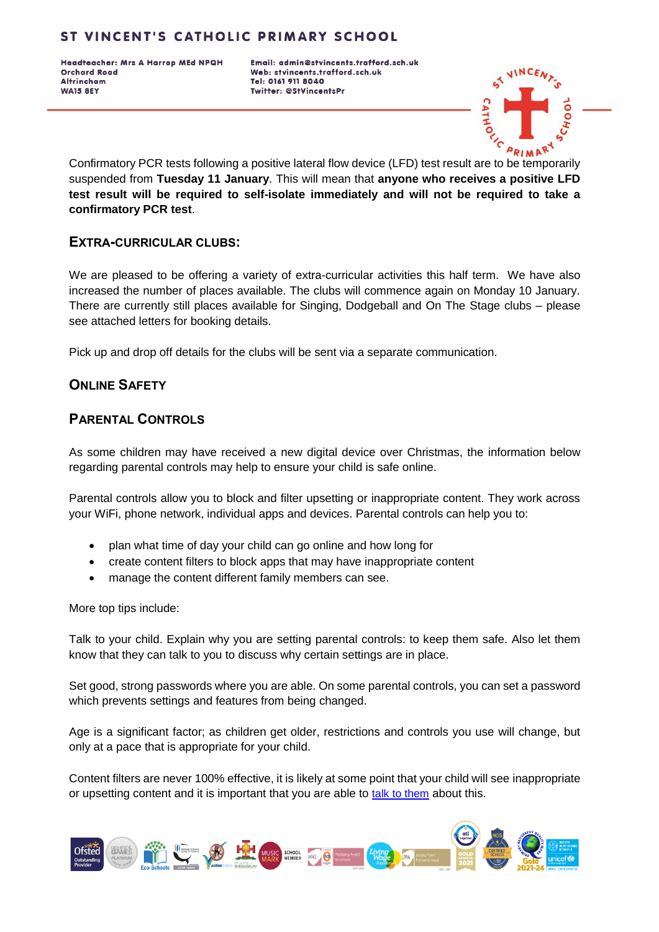Headteacher: Mrs A Harrop MEd NPQH **Orchard Road Altrincham WA15 8EY** 

Email: admin@stvincents.trafford.sch.uk Web: stvincents.trafford.sch.uk Tel: 0161 911 8040 Twitter: @StVincentsPr



Confirmatory PCR tests following a positive lateral flow device (LFD) test result are to be temporarily suspended from **Tuesday 11 January**. This will mean that **anyone who receives a positive LFD test result will be required to self-isolate immediately and will not be required to take a confirmatory PCR test**.

#### **EXTRA-CURRICULAR CLUBS:**

We are pleased to be offering a variety of extra-curricular activities this half term. We have also increased the number of places available. The clubs will commence again on Monday 10 January. There are currently still places available for Singing, Dodgeball and On The Stage clubs – please see attached letters for booking details.

Pick up and drop off details for the clubs will be sent via a separate communication.

## **ONLINE SAFETY**

## **PARENTAL CONTROLS**

As some children may have received a new digital device over Christmas, the information below regarding parental controls may help to ensure your child is safe online.

Parental controls allow you to block and filter upsetting or inappropriate content. They work across your WiFi, phone network, individual apps and devices. Parental controls can help you to:

- plan what time of day your child can go online and how long for
- create content filters to block apps that may have [inappropriate content](https://www.nspcc.org.uk/keeping-children-safe/online-safety/inappropriate-explicit-content2/)
- manage the content different family members can see.

More top tips include:

Talk to your child. Explain why you are setting parental controls: to keep them safe. Also let them know that they can talk to you to discuss why certain settings are in place.

Set good, strong passwords where you are able. On some parental controls, you can set a password which prevents settings and features from being changed.

Age is a significant factor; as children get older, restrictions and controls you use will change, but only at a pace that is appropriate for your child.

Content filters are never 100% effective, it is likely at some point that your child will see inappropriate or upsetting content and it is important that you are able to [talk to them](https://www.nspcc.org.uk/keeping-children-safe/online-safety/talking-child-online-safety/) about this.

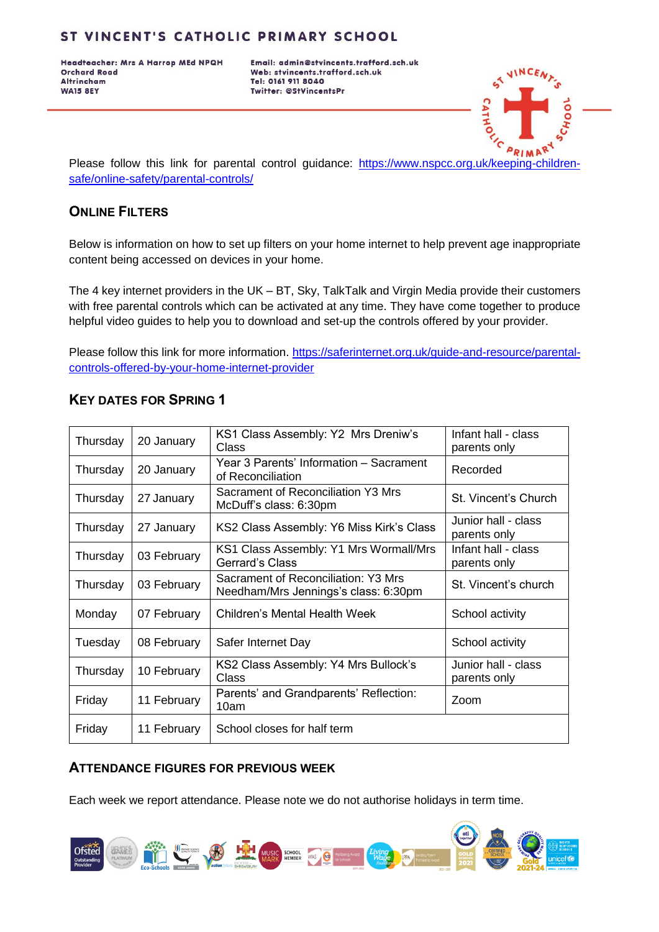Headteacher: Mrs A Harrop MEd NPQH **Orchard Road Altrincham WA15 8EY** 

Email: admin@stvincents.trafford.sch.uk Web: stvincents.trafford.sch.uk Tel: 0161 911 8040 Twitter: @StVincentsPr



Please follow this link for parental control guidance: [https://www.nspcc.org.uk/keeping-children](https://www.nspcc.org.uk/keeping-children-safe/online-safety/parental-controls/)[safe/online-safety/parental-controls/](https://www.nspcc.org.uk/keeping-children-safe/online-safety/parental-controls/)

#### **ONLINE FILTERS**

Below is information on how to set up filters on your home internet to help prevent age inappropriate content being accessed on devices in your home.

The 4 key internet providers in the UK – BT, Sky, TalkTalk and Virgin Media provide their customers with free parental controls which can be activated at any time. They have come together to produce helpful video guides to help you to download and set-up the controls offered by your provider.

Please follow this link for more information. [https://saferinternet.org.uk/guide-and-resource/parental](https://saferinternet.org.uk/guide-and-resource/parental-controls-offered-by-your-home-internet-provider)[controls-offered-by-your-home-internet-provider](https://saferinternet.org.uk/guide-and-resource/parental-controls-offered-by-your-home-internet-provider)

#### Thursday  $\begin{bmatrix} 20 \text{ January} \\ 20 \text{ January} \end{bmatrix}$  KS1 Class Assembly: Y2 Mrs Dreniw's Class Infant hall - class parents only Thursday  $\begin{bmatrix} 20 \text{ January} \end{bmatrix}$  Year 3 Parents' Information – Sacrament Teal 5 Parents Information – Sacrament Recorded<br>of Reconciliation Thursday  $27$  January Sacrament of Reconciliation Y3 Mrs Sacrament of Reconciliation 15 Mis<br>McDuff's class: 6:30pm Thursday 27 January KS2 Class Assembly: Y6 Miss Kirk's Class Junior hall - class parents only Thursday  $\bigg| 03$  February  $\bigg|$  KS1 Class Assembly: Y1 Mrs Wormall/Mrs Gerrard's Class Infant hall - class parents only Thursday 03 February Sacrament of Reconciliation: Y3 Mrs Needham/Mrs Jennings's class: 6:30pm St. Vincent's church Monday 1 07 February Children's Mental Health Week School activity Tuesday | 08 February | Safer Internet Day School activity Thursday  $\vert$  10 February  $\vert$  KS2 Class Assembly: Y4 Mrs Bullock's Class Junior hall - class parents only Friday 11 February Parents' and Grandparents' Reflection: Zoom Friday  $|11$  February  $|$  School closes for half term

## **KEY DATES FOR SPRING 1**

#### **ATTENDANCE FIGURES FOR PREVIOUS WEEK**

Each week we report attendance. Please note we do not authorise holidays in term time.